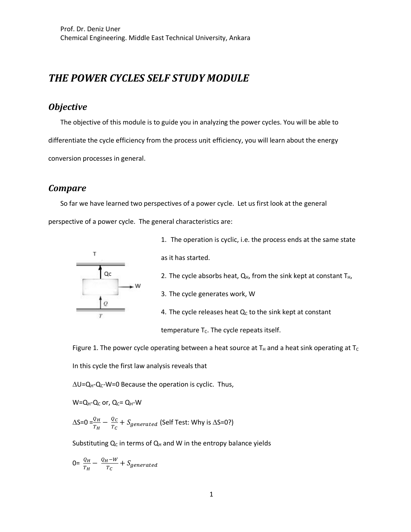# *THE POWER CYCLES SELF STUDY MODULE*

# *Objective*

The objective of this module is to guide you in analyzing the power cycles. You will be able to differentiate the cycle efficiency from the process unit efficiency, you will learn about the energy conversion processes in general.

#### *Compare*

So far we have learned two perspectives of a power cycle. Let us first look at the general perspective of a power cycle. The general characteristics are:



1. The operation is cyclic, i.e. the process ends at the same state as it has started. 2. The cycle absorbs heat,  $Q_H$ , from the sink kept at constant  $T_H$ , 3. The cycle generates work, W

4. The cycle releases heat  $Q_c$  to the sink kept at constant

temperature  $T_c$ . The cycle repeats itself.

Figure 1. The power cycle operating between a heat source at  $T_H$  and a heat sink operating at  $T_C$ In this cycle the first law analysis reveals that

 $\Delta U = Q_{H} - Q_{C} - W = 0$  Because the operation is cyclic. Thus,

 $W=Q_H-Q_C$  or,  $Q_C=Q_H-W$ 

 $\Delta$ S=0 = $\frac{Q_H}{T_H}-\frac{Q_C}{T_C}+S_{generated}$  (Self Test: Why is  $\Delta$ S=0?)

Substituting  $Q_C$  in terms of  $Q_H$  and W in the entropy balance yields

$$
0 = \frac{Q_H}{T_H} - \frac{Q_H - W}{T_C} + S_{generated}
$$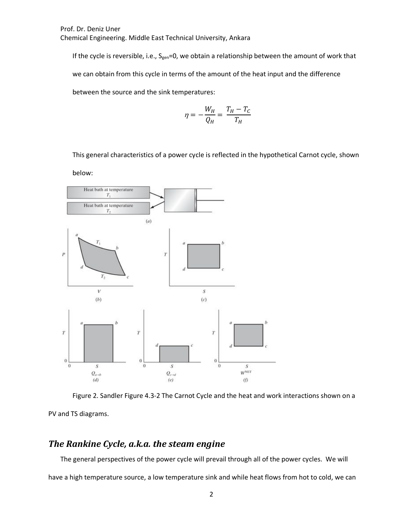If the cycle is reversible, i.e.,  $S_{gen}=0$ , we obtain a relationship between the amount of work that we can obtain from this cycle in terms of the amount of the heat input and the difference between the source and the sink temperatures:

$$
\eta = -\frac{W_H}{Q_H} = \frac{T_H - T_C}{T_H}
$$

This general characteristics of a power cycle is reflected in the hypothetical Carnot cycle, shown

below:



Figure 2. Sandler Figure 4.3-2 The Carnot Cycle and the heat and work interactions shown on a

PV and TS diagrams.

## *The Rankine Cycle, a.k.a. the steam engine*

The general perspectives of the power cycle will prevail through all of the power cycles. We will

have a high temperature source, a low temperature sink and while heat flows from hot to cold, we can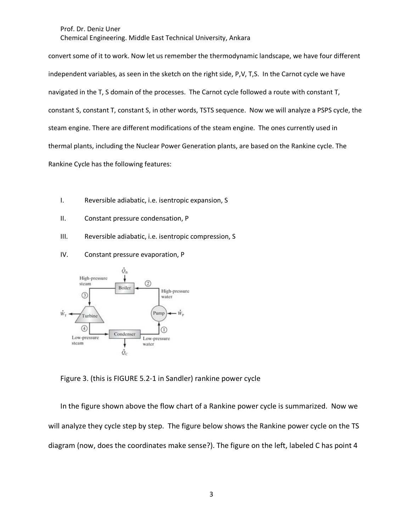convert some of it to work. Now let us remember the thermodynamic landscape, we have four different independent variables, as seen in the sketch on the right side, P,V, T,S. In the Carnot cycle we have navigated in the T, S domain of the processes. The Carnot cycle followed a route with constant T, constant S, constant T, constant S, in other words, TSTS sequence. Now we will analyze a PSPS cycle, the steam engine. There are different modifications of the steam engine. The ones currently used in thermal plants, including the Nuclear Power Generation plants, are based on the Rankine cycle. The Rankine Cycle has the following features:

- I. Reversible adiabatic, i.e. isentropic expansion, S
- II. Constant pressure condensation, P
- III. Reversible adiabatic, i.e. isentropic compression, S
- IV. Constant pressure evaporation, P



Figure 3. (this is FIGURE 5.2-1 in Sandler) rankine power cycle

In the figure shown above the flow chart of a Rankine power cycle is summarized. Now we will analyze they cycle step by step. The figure below shows the Rankine power cycle on the TS diagram (now, does the coordinates make sense?). The figure on the left, labeled C has point 4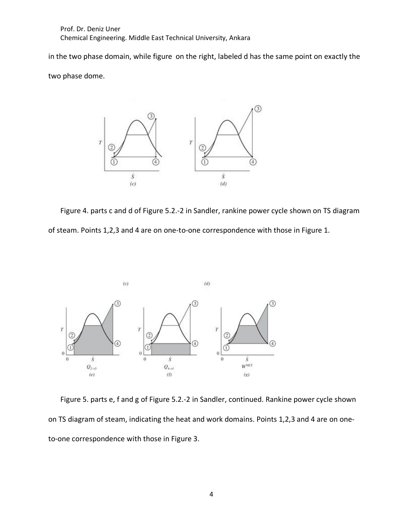in the two phase domain, while figure on the right, labeled d has the same point on exactly the

two phase dome.



Figure 4. parts c and d of Figure 5.2.-2 in Sandler, rankine power cycle shown on TS diagram of steam. Points 1,2,3 and 4 are on one-to-one correspondence with those in Figure 1.



Figure 5. parts e, f and g of Figure 5.2.-2 in Sandler, continued. Rankine power cycle shown on TS diagram of steam, indicating the heat and work domains. Points 1,2,3 and 4 are on oneto-one correspondence with those in Figure 3.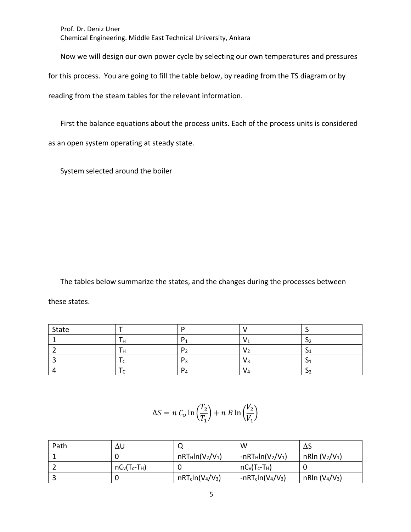Now we will design our own power cycle by selecting our own temperatures and pressures

for this process. You are going to fill the table below, by reading from the TS diagram or by

reading from the steam tables for the relevant information.

First the balance equations about the process units. Each of the process units is considered as an open system operating at steady state.

System selected around the boiler

The tables below summarize the states, and the changes during the processes between these states.

| State |   |  |
|-------|---|--|
|       |   |  |
|       | D |  |
|       |   |  |
|       |   |  |

$$
\Delta S = n C_v \ln \left( \frac{T_2}{T_1} \right) + n R \ln \left( \frac{V_2}{V_1} \right)
$$

| Path | ΔU              |                    | W                   | ΔS                                     |
|------|-----------------|--------------------|---------------------|----------------------------------------|
|      |                 | $nRT_Hln(V_2/V_1)$ | $-nRT_Hln(V_2/V_1)$ | nRln $(V_2/V_1)$                       |
|      | $nC_v(T_c-T_H)$ |                    | $nC_v(T_c-T_H)$     |                                        |
|      |                 | $nRT_cln(V_4/V_3)$ | $-nRTcln(V4/V3)$    | nRIn (V <sub>4</sub> /V <sub>3</sub> ) |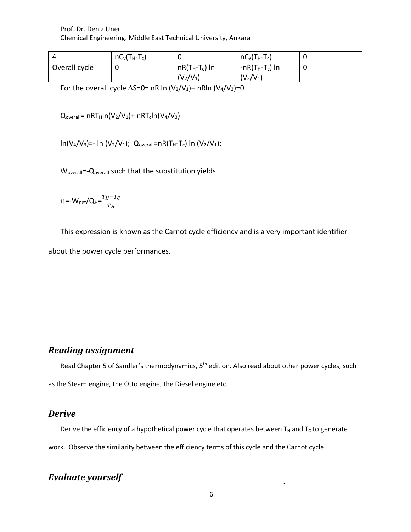|               | $nC_v(T_H-T_c)$ |                  | $nC_v(T_H-T_c)$    |  |
|---------------|-----------------|------------------|--------------------|--|
| Overall cycle |                 | $nR(T_H-T_c)$ In | -n $R(T_H-T_c)$ In |  |
|               |                 | $(V_2/V_1)$      | $(V_2/V_1)$        |  |

For the overall cycle  $\Delta S=0=$  nR ln (V<sub>2</sub>/V<sub>1</sub>)+ nRln (V<sub>4</sub>/V<sub>3</sub>)=0

 $Q_{\text{overall}}$ = nRT<sub>H</sub>ln(V<sub>2</sub>/V<sub>1</sub>)+ nRT<sub>c</sub>ln(V<sub>4</sub>/V<sub>3</sub>)

 $ln(V_4/V_3)$ =- ln (V<sub>2</sub>/V<sub>1</sub>); Q<sub>overall</sub>=nR(T<sub>H</sub>-T<sub>c</sub>) ln (V<sub>2</sub>/V<sub>1</sub>);

W<sub>overall</sub>=-Q<sub>overall</sub> such that the substitution yields

$$
\eta = -W_{\text{net}}/Q_H = \frac{T_H - T_C}{T_H}
$$

This expression is known as the Carnot cycle efficiency and is a very important identifier

about the power cycle performances.

## *Reading assignment*

Read Chapter 5 of Sandler's thermodynamics, 5<sup>th</sup> edition. Also read about other power cycles, such as the Steam engine, the Otto engine, the Diesel engine etc.

#### *Derive*

Derive the efficiency of a hypothetical power cycle that operates between  $T_H$  and  $T_C$  to generate work. Observe the similarity between the efficiency terms of this cycle and the Carnot cycle.

# *Evaluate yourself*